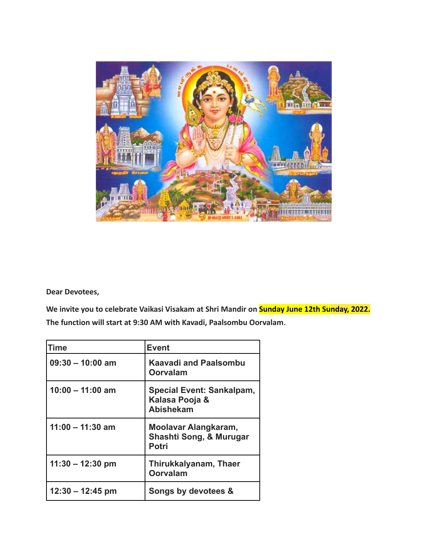

**Dear Devotees,**

**We invite you to celebrate Vaikasi Visakam at Shri Mandir on Sunday June 12th Sunday, 2022. The function will start at 9:30 AM with Kavadi, Paalsombu Oorvalam**.

| Time               | <b>Event</b>                                                    |
|--------------------|-----------------------------------------------------------------|
| $09:30 - 10:00$ am | <b>Kaavadi and Paalsombu</b><br>Oorvalam                        |
| $10:00 - 11:00$ am | Special Event: Sankalpam,<br>Kalasa Pooja &<br><b>Abishekam</b> |
| $11:00 - 11:30$ am | Moolavar Alangkaram,<br>Shashti Song, & Murugar<br><b>Potri</b> |
| $11:30 - 12:30$ pm | Thirukkalyanam, Thaer<br>Oorvalam                               |
| $12:30 - 12:45$ pm | Songs by devotees &                                             |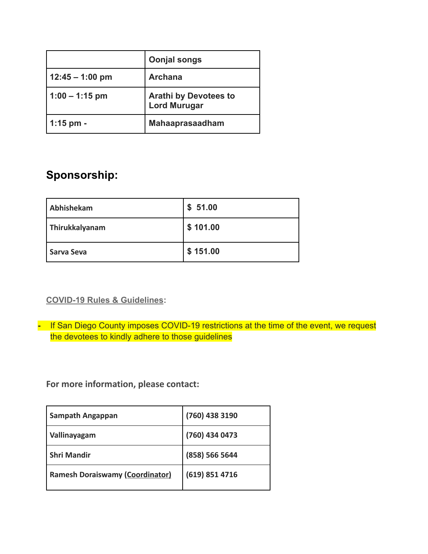|                   | <b>Oonjal songs</b>                                 |
|-------------------|-----------------------------------------------------|
| $12:45 - 1:00$ pm | <b>Archana</b>                                      |
| $1:00 - 1:15$ pm  | <b>Arathi by Devotees to</b><br><b>Lord Murugar</b> |
| 1:15 pm $-$       | <b>Mahaaprasaadham</b>                              |

## **Sponsorship:**

| Abhishekam     | \$51.00  |
|----------------|----------|
| Thirukkalyanam | \$101.00 |
| Sarva Seva     | \$151.00 |

**COVID-19 Rules & Guidelines:**

**-** If San Diego County imposes COVID-19 restrictions at the time of the event, we request the devotees to kindly adhere to those guidelines

**For more information, please contact:**

| <b>Sampath Angappan</b>                | (760) 438 3190 |
|----------------------------------------|----------------|
| Vallinayagam                           | (760) 434 0473 |
| <b>Shri Mandir</b>                     | (858) 566 5644 |
| <b>Ramesh Doraiswamy (Coordinator)</b> | (619) 851 4716 |